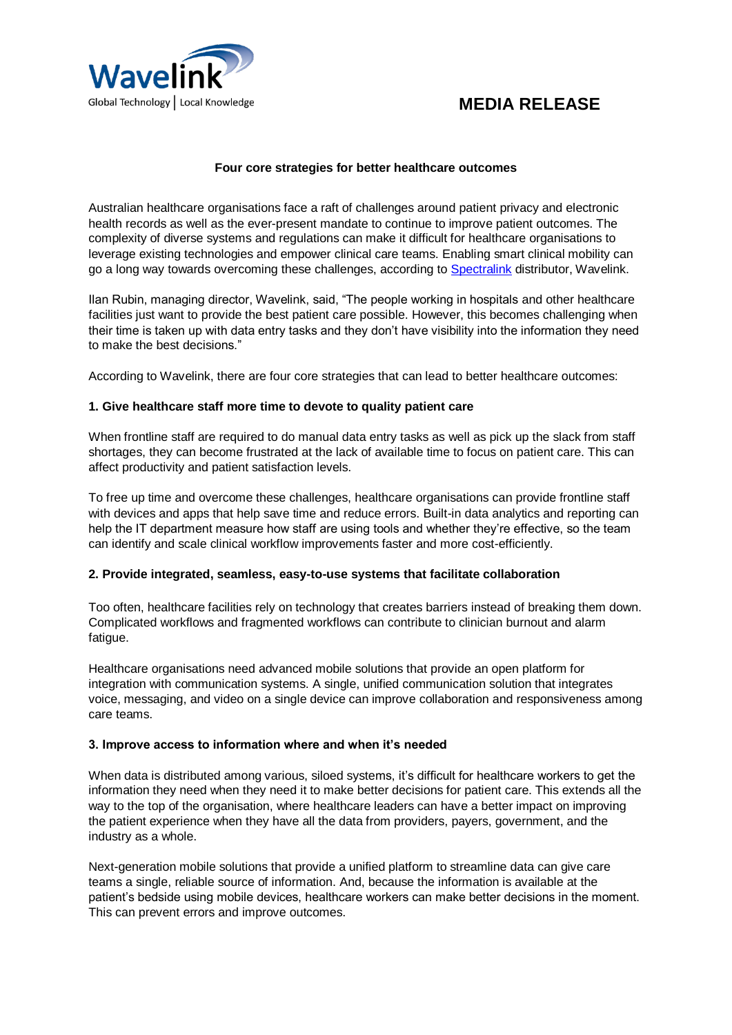

## **Four core strategies for better healthcare outcomes**

Australian healthcare organisations face a raft of challenges around patient privacy and electronic health records as well as the ever-present mandate to continue to improve patient outcomes. The complexity of diverse systems and regulations can make it difficult for healthcare organisations to leverage existing technologies and empower clinical care teams. Enabling smart clinical mobility can go a long way towards overcoming these challenges, according t[o Spectralink](https://www.spectralink.com/) distributor, Wavelink.

Ilan Rubin, managing director, Wavelink, said, "The people working in hospitals and other healthcare facilities just want to provide the best patient care possible. However, this becomes challenging when their time is taken up with data entry tasks and they don't have visibility into the information they need to make the best decisions."

According to Wavelink, there are four core strategies that can lead to better healthcare outcomes:

## **1. Give healthcare staff more time to devote to quality patient care**

When frontline staff are required to do manual data entry tasks as well as pick up the slack from staff shortages, they can become frustrated at the lack of available time to focus on patient care. This can affect productivity and patient satisfaction levels.

To free up time and overcome these challenges, healthcare organisations can provide frontline staff with devices and apps that help save time and reduce errors. Built-in data analytics and reporting can help the IT department measure how staff are using tools and whether they're effective, so the team can identify and scale clinical workflow improvements faster and more cost-efficiently.

# **2. Provide integrated, seamless, easy-to-use systems that facilitate collaboration**

Too often, healthcare facilities rely on technology that creates barriers instead of breaking them down. Complicated workflows and fragmented workflows can contribute to clinician burnout and alarm fatigue.

Healthcare organisations need advanced mobile solutions that provide an open platform for integration with communication systems. A single, unified communication solution that integrates voice, messaging, and video on a single device can improve collaboration and responsiveness among care teams.

### **3. Improve access to information where and when it's needed**

When data is distributed among various, siloed systems, it's difficult for healthcare workers to get the information they need when they need it to make better decisions for patient care. This extends all the way to the top of the organisation, where healthcare leaders can have a better impact on improving the patient experience when they have all the data from providers, payers, government, and the industry as a whole.

Next-generation mobile solutions that provide a unified platform to streamline data can give care teams a single, reliable source of information. And, because the information is available at the patient's bedside using mobile devices, healthcare workers can make better decisions in the moment. This can prevent errors and improve outcomes.